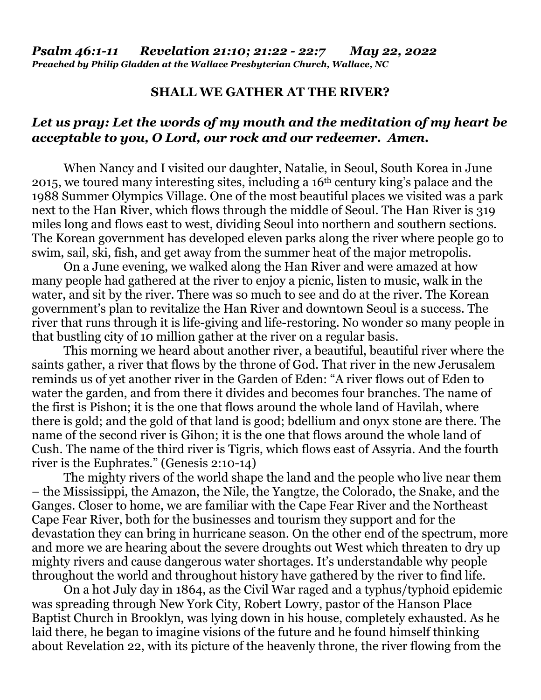## **SHALL WE GATHER AT THE RIVER?**

## *Let us pray: Let the words of my mouth and the meditation of my heart be acceptable to you, O Lord, our rock and our redeemer. Amen.*

When Nancy and I visited our daughter, Natalie, in Seoul, South Korea in June 2015, we toured many interesting sites, including a 16th century king's palace and the 1988 Summer Olympics Village. One of the most beautiful places we visited was a park next to the Han River, which flows through the middle of Seoul. The Han River is 319 miles long and flows east to west, dividing Seoul into northern and southern sections. The Korean government has developed eleven parks along the river where people go to swim, sail, ski, fish, and get away from the summer heat of the major metropolis.

 On a June evening, we walked along the Han River and were amazed at how many people had gathered at the river to enjoy a picnic, listen to music, walk in the water, and sit by the river. There was so much to see and do at the river. The Korean government's plan to revitalize the Han River and downtown Seoul is a success. The river that runs through it is life-giving and life-restoring. No wonder so many people in that bustling city of 10 million gather at the river on a regular basis.

 This morning we heard about another river, a beautiful, beautiful river where the saints gather, a river that flows by the throne of God. That river in the new Jerusalem reminds us of yet another river in the Garden of Eden: "A river flows out of Eden to water the garden, and from there it divides and becomes four branches. The name of the first is Pishon; it is the one that flows around the whole land of Havilah, where there is gold; and the gold of that land is good; bdellium and onyx stone are there. The name of the second river is Gihon; it is the one that flows around the whole land of Cush. The name of the third river is Tigris, which flows east of Assyria. And the fourth river is the Euphrates." (Genesis 2:10-14)

 The mighty rivers of the world shape the land and the people who live near them – the Mississippi, the Amazon, the Nile, the Yangtze, the Colorado, the Snake, and the Ganges. Closer to home, we are familiar with the Cape Fear River and the Northeast Cape Fear River, both for the businesses and tourism they support and for the devastation they can bring in hurricane season. On the other end of the spectrum, more and more we are hearing about the severe droughts out West which threaten to dry up mighty rivers and cause dangerous water shortages. It's understandable why people throughout the world and throughout history have gathered by the river to find life.

 On a hot July day in 1864, as the Civil War raged and a typhus/typhoid epidemic was spreading through New York City, Robert Lowry, pastor of the Hanson Place Baptist Church in Brooklyn, was lying down in his house, completely exhausted. As he laid there, he began to imagine visions of the future and he found himself thinking about Revelation 22, with its picture of the heavenly throne, the river flowing from the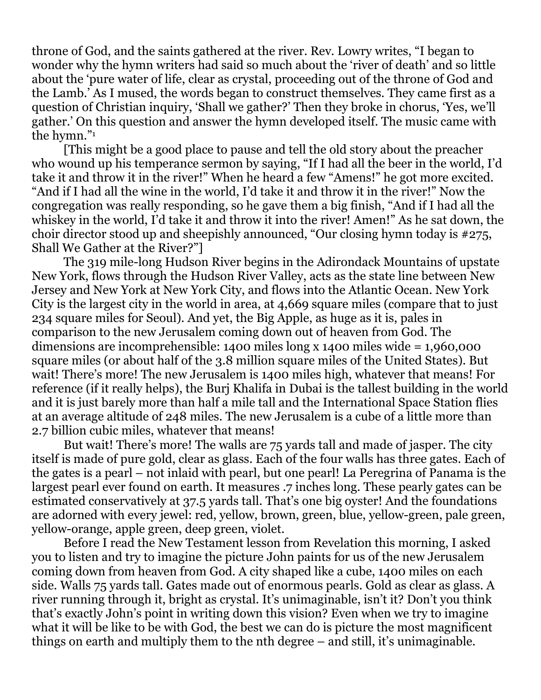throne of God, and the saints gathered at the river. Rev. Lowry writes, "I began to wonder why the hymn writers had said so much about the 'river of death' and so little about the 'pure water of life, clear as crystal, proceeding out of the throne of God and the Lamb.' As I mused, the words began to construct themselves. They came first as a question of Christian inquiry, 'Shall we gather?' Then they broke in chorus, 'Yes, we'll gather.' On this question and answer the hymn developed itself. The music came with the hymn."<sup>1</sup>

 [This might be a good place to pause and tell the old story about the preacher who wound up his temperance sermon by saying, "If I had all the beer in the world, I'd take it and throw it in the river!" When he heard a few "Amens!" he got more excited. "And if I had all the wine in the world, I'd take it and throw it in the river!" Now the congregation was really responding, so he gave them a big finish, "And if I had all the whiskey in the world, I'd take it and throw it into the river! Amen!" As he sat down, the choir director stood up and sheepishly announced, "Our closing hymn today is #275, Shall We Gather at the River?"]

 The 319 mile-long Hudson River begins in the Adirondack Mountains of upstate New York, flows through the Hudson River Valley, acts as the state line between New Jersey and New York at New York City, and flows into the Atlantic Ocean. New York City is the largest city in the world in area, at 4,669 square miles (compare that to just 234 square miles for Seoul). And yet, the Big Apple, as huge as it is, pales in comparison to the new Jerusalem coming down out of heaven from God. The dimensions are incomprehensible: 1400 miles long x 1400 miles wide = 1,960,000 square miles (or about half of the 3.8 million square miles of the United States). But wait! There's more! The new Jerusalem is 1400 miles high, whatever that means! For reference (if it really helps), the Burj Khalifa in Dubai is the tallest building in the world and it is just barely more than half a mile tall and the International Space Station flies at an average altitude of 248 miles. The new Jerusalem is a cube of a little more than 2.7 billion cubic miles, whatever that means!

 But wait! There's more! The walls are 75 yards tall and made of jasper. The city itself is made of pure gold, clear as glass. Each of the four walls has three gates. Each of the gates is a pearl – not inlaid with pearl, but one pearl! La Peregrina of Panama is the largest pearl ever found on earth. It measures .7 inches long. These pearly gates can be estimated conservatively at 37.5 yards tall. That's one big oyster! And the foundations are adorned with every jewel: red, yellow, brown, green, blue, yellow-green, pale green, yellow-orange, apple green, deep green, violet.

 Before I read the New Testament lesson from Revelation this morning, I asked you to listen and try to imagine the picture John paints for us of the new Jerusalem coming down from heaven from God. A city shaped like a cube, 1400 miles on each side. Walls 75 yards tall. Gates made out of enormous pearls. Gold as clear as glass. A river running through it, bright as crystal. It's unimaginable, isn't it? Don't you think that's exactly John's point in writing down this vision? Even when we try to imagine what it will be like to be with God, the best we can do is picture the most magnificent things on earth and multiply them to the nth degree – and still, it's unimaginable.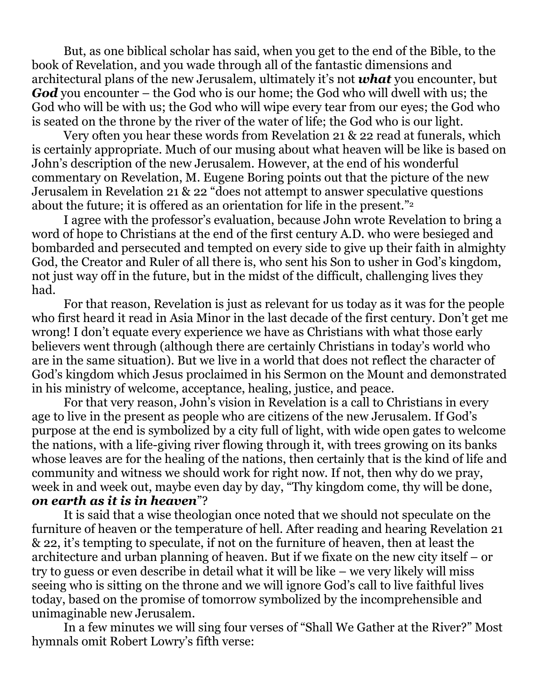But, as one biblical scholar has said, when you get to the end of the Bible, to the book of Revelation, and you wade through all of the fantastic dimensions and architectural plans of the new Jerusalem, ultimately it's not *what* you encounter, but *God* you encounter – the God who is our home; the God who will dwell with us; the God who will be with us; the God who will wipe every tear from our eyes; the God who is seated on the throne by the river of the water of life; the God who is our light.

 Very often you hear these words from Revelation 21 & 22 read at funerals, which is certainly appropriate. Much of our musing about what heaven will be like is based on John's description of the new Jerusalem. However, at the end of his wonderful commentary on Revelation, M. Eugene Boring points out that the picture of the new Jerusalem in Revelation 21 & 22 "does not attempt to answer speculative questions about the future; it is offered as an orientation for life in the present."<sup>2</sup>

 I agree with the professor's evaluation, because John wrote Revelation to bring a word of hope to Christians at the end of the first century A.D. who were besieged and bombarded and persecuted and tempted on every side to give up their faith in almighty God, the Creator and Ruler of all there is, who sent his Son to usher in God's kingdom, not just way off in the future, but in the midst of the difficult, challenging lives they had.

For that reason, Revelation is just as relevant for us today as it was for the people who first heard it read in Asia Minor in the last decade of the first century. Don't get me wrong! I don't equate every experience we have as Christians with what those early believers went through (although there are certainly Christians in today's world who are in the same situation). But we live in a world that does not reflect the character of God's kingdom which Jesus proclaimed in his Sermon on the Mount and demonstrated in his ministry of welcome, acceptance, healing, justice, and peace.

For that very reason, John's vision in Revelation is a call to Christians in every age to live in the present as people who are citizens of the new Jerusalem. If God's purpose at the end is symbolized by a city full of light, with wide open gates to welcome the nations, with a life-giving river flowing through it, with trees growing on its banks whose leaves are for the healing of the nations, then certainly that is the kind of life and community and witness we should work for right now. If not, then why do we pray, week in and week out, maybe even day by day, "Thy kingdom come, thy will be done, *on earth as it is in heaven*"?

It is said that a wise theologian once noted that we should not speculate on the furniture of heaven or the temperature of hell. After reading and hearing Revelation 21 & 22, it's tempting to speculate, if not on the furniture of heaven, then at least the architecture and urban planning of heaven. But if we fixate on the new city itself – or try to guess or even describe in detail what it will be like – we very likely will miss seeing who is sitting on the throne and we will ignore God's call to live faithful lives today, based on the promise of tomorrow symbolized by the incomprehensible and unimaginable new Jerusalem.

In a few minutes we will sing four verses of "Shall We Gather at the River?" Most hymnals omit Robert Lowry's fifth verse: